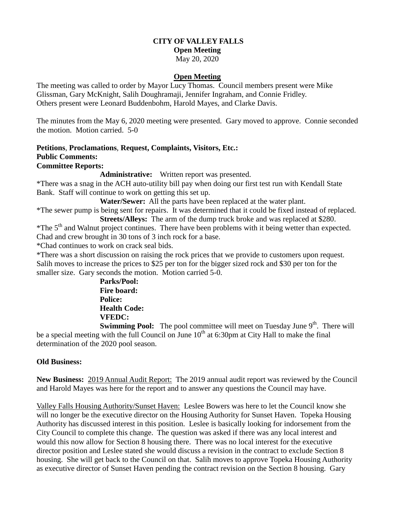# **CITY OF VALLEY FALLS**

### **Open Meeting**

### May 20, 2020

### **Open Meeting**

The meeting was called to order by Mayor Lucy Thomas. Council members present were Mike Glissman, Gary McKnight, Salih Doughramaji, Jennifer Ingraham, and Connie Fridley. Others present were Leonard Buddenbohm, Harold Mayes, and Clarke Davis.

The minutes from the May 6, 2020 meeting were presented. Gary moved to approve. Connie seconded the motion. Motion carried. 5-0

### **Petitions**, **Proclamations**, **Request, Complaints, Visitors, Etc.: Public Comments: Committee Reports:**

### **Administrative:** Written report was presented.

\*There was a snag in the ACH auto-utility bill pay when doing our first test run with Kendall State Bank. Staff will continue to work on getting this set up.

**Water/Sewer:** All the parts have been replaced at the water plant.

\*The sewer pump is being sent for repairs. It was determined that it could be fixed instead of replaced. **Streets/Alleys:** The arm of the dump truck broke and was replaced at \$280.

\*The 5<sup>th</sup> and Walnut project continues. There have been problems with it being wetter than expected. Chad and crew brought in 30 tons of 3 inch rock for a base.

\*Chad continues to work on crack seal bids.

\*There was a short discussion on raising the rock prices that we provide to customers upon request. Salih moves to increase the prices to \$25 per ton for the bigger sized rock and \$30 per ton for the smaller size. Gary seconds the motion. Motion carried 5-0.

> **Parks/Pool: Fire board: Police: Health Code: VFEDC:**

**Swimming Pool:** The pool committee will meet on Tuesday June 9<sup>th</sup>. There will be a special meeting with the full Council on June  $10<sup>th</sup>$  at 6:30pm at City Hall to make the final determination of the 2020 pool season.

## **Old Business:**

**New Business:** 2019 Annual Audit Report: The 2019 annual audit report was reviewed by the Council and Harold Mayes was here for the report and to answer any questions the Council may have.

Valley Falls Housing Authority/Sunset Haven: Leslee Bowers was here to let the Council know she will no longer be the executive director on the Housing Authority for Sunset Haven. Topeka Housing Authority has discussed interest in this position. Leslee is basically looking for indorsement from the City Council to complete this change. The question was asked if there was any local interest and would this now allow for Section 8 housing there. There was no local interest for the executive director position and Leslee stated she would discuss a revision in the contract to exclude Section 8 housing. She will get back to the Council on that. Salih moves to approve Topeka Housing Authority as executive director of Sunset Haven pending the contract revision on the Section 8 housing. Gary